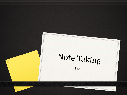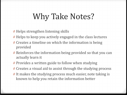## Why Take Notes?

Helps strengthen listening skills

- Helps to keep you actively engaged in the class lectures
- Creates a timeline on which the information is being provided
- Reinforces the information being provided so that you can actually learn it
- Provides a written guide to follow when studying
- Creates a visual aid to assist through the studying process
- It makes the studying process much easier, note taking is known to help you retain the information better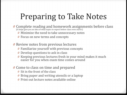# Preparing to Take Notes

- Complete reading and homework assignments before class (It helps give you an idea of what topics to expect before class even starts!)
	- Minimize the need to take unnecessary notes
	- Focus on new terms and concepts
- Review notes from previous lectures
	- Familiarize yourself with previous concepts
	- Develop questions to ask in class
	- Keeping previous lectures fresh in your mind makes it much easier for you when exam time comes around
- Come to class on time and prepared
	- Sit in the front of the class
	- Bring paper and writing utensils or a laptop
	- Print out lecture notes available online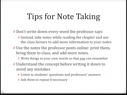## Tips for Note Taking

Don't write down every word the professor says

- Instead, take notes while reading the chapter and use the class lecture to add more information to your notes
- Use the notes the professor posts online: print them, bring them to class, and add more notes.
	- Write things in your own words so that *you* can remember
- Understand the concept before writing it down to avoid any mistakes
	- Listen to students' questions and professors' answers
	- Ask them to repeat if necessary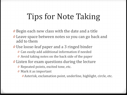## Tips for Note Taking

- Begin each new class with the date and a title
- Leave space between notes so you can go back and add to them
- Use loose-leaf paper and a 3 ringed binder
	- Can easily add additional information if needed
	- Avoid taking notes on the back side of the paper
- Listen for exam questions during the lecture
	- Repeated points, excited tone, etc.
	- Mark it as important
		- Asterisk, exclamation point, underline, highlight, circle, etc.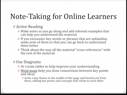### Note-Taking for Online Learners

### *0* Active Reading

- *0* Make notes as you go along and add relevant examples that can help you understand the material
- *0* If you encounter key words or phrases that are unfamiliar, make note of them so that you can go back to understand them better
- *0* Think about the way all the material "cross references" with the rest of the material

### *0* Use Diagrams

- *0* Or create tables to help improve your understanding
- *0* Mind maps help you draw connections between key points and ideas
	- *0* write a key theme in the middle of the page and branch out from there, adding key points and concepts that relate to each other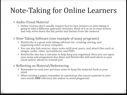### Note-Taking for Online Learners

#### *0* Audio-Visual Material

- *0* Online courses don't usually require face-to-face lectures so note taking is going to take a different approach; however, think of it as an in-class lecture and only write down the key points and themes from the material
- *0* Note-Taking Software (one example of many programs)
	- *0* NoteScribe is a great note taking software for: creating, storing, and organizing notes on your computer
	- *0* You can also link sources, share notes with your peers, and attach files such as images, audio, video, spreadsheets, and PDFs
	- *0* NoteScribe also has a calendar to help keep you organized. Here you can input your exam and assignment due dates and NoteScribe will send alerts to your email and/or phone to remind you!

#### *0* Reflecting on Material/Referencing

- *0* Remember to read over previous notes to keep the material fresh in your mind
- *0* When writing a paper, remember to summarize the course material in your own words **AND** reference the author to avoid plagiarism